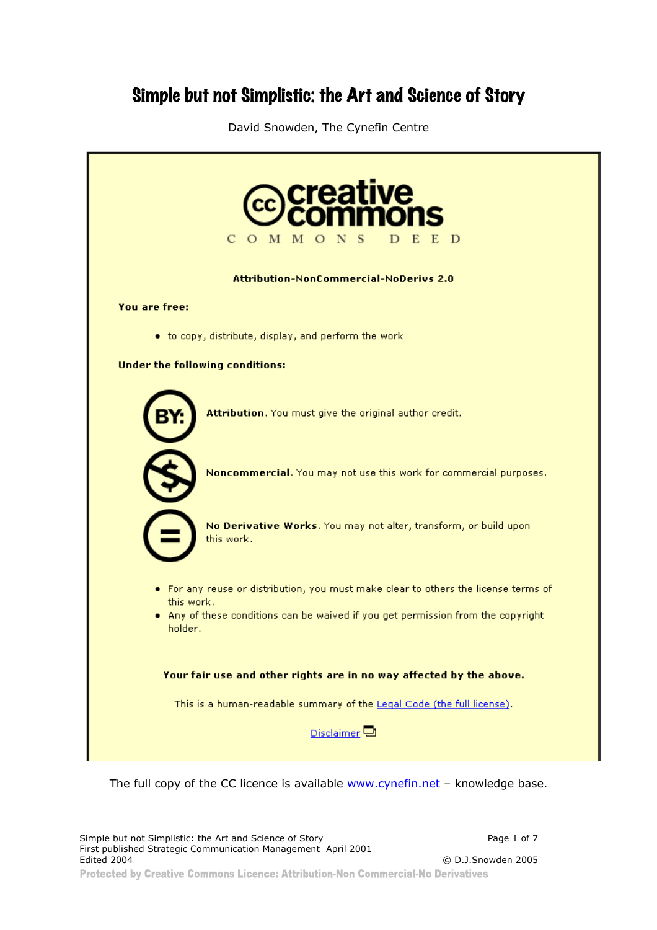# Simple but not Simplistic: the Art and Science of Story

David Snowden, The Cynefin Centre

| creative<br>$\mathbf C$<br>O M M O N<br>E.<br>- D                                                 |
|---------------------------------------------------------------------------------------------------|
| <b>Attribution-NonCommercial-NoDerivs 2.0</b>                                                     |
| <b>You are free:</b>                                                                              |
| • to copy, distribute, display, and perform the work                                              |
| <b>Under the following conditions:</b>                                                            |
| Attribution. You must give the original author credit.                                            |
| Noncommercial. You may not use this work for commercial purposes.                                 |
| No Derivative Works. You may not alter, transform, or build upon<br>this work.                    |
| . For any reuse or distribution, you must make clear to others the license terms of<br>this work. |
| . Any of these conditions can be waived if you get permission from the copyright<br>holder.       |
| Your fair use and other rights are in no way affected by the above.                               |
| This is a human-readable summary of the Legal Code (the full license).                            |
| Disclaimer <sup>[1]</sup>                                                                         |
|                                                                                                   |

The full copy of the CC licence is available www.cynefin.net - knowledge base.

 $©$  D.J.Snowden 2005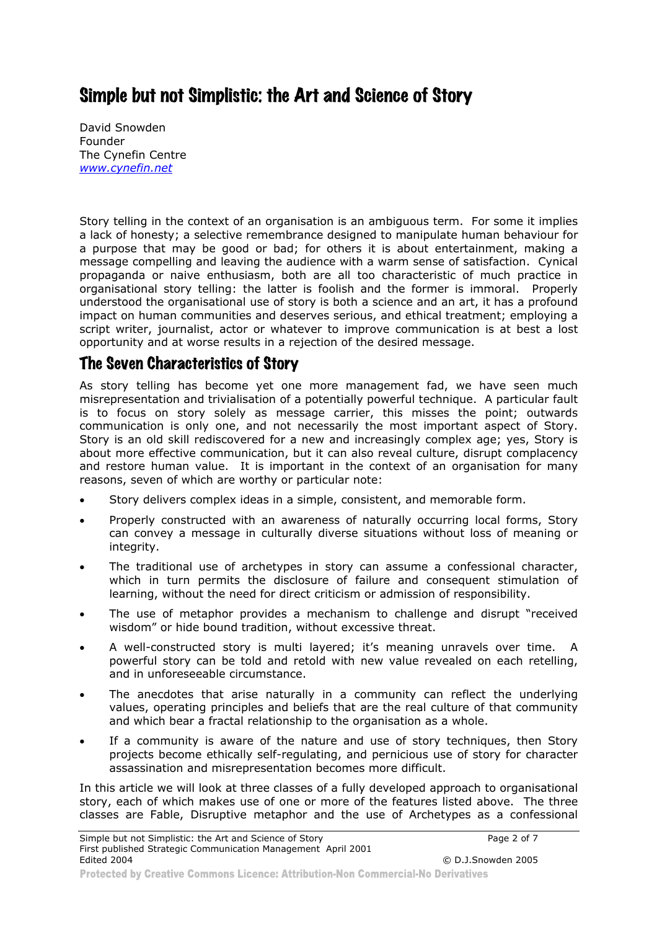## Simple but not Simplistic: the Art and Science of Story

David Snowden Founder The Cynefin Centre *www.cynefin.net*

Story telling in the context of an organisation is an ambiguous term. For some it implies a lack of honesty; a selective remembrance designed to manipulate human behaviour for a purpose that may be good or bad; for others it is about entertainment, making a message compelling and leaving the audience with a warm sense of satisfaction. Cynical propaganda or naive enthusiasm, both are all too characteristic of much practice in organisational story telling: the latter is foolish and the former is immoral. Properly understood the organisational use of story is both a science and an art, it has a profound impact on human communities and deserves serious, and ethical treatment; employing a script writer, journalist, actor or whatever to improve communication is at best a lost opportunity and at worse results in a rejection of the desired message.

## The Seven Characteristics of Story

As story telling has become yet one more management fad, we have seen much misrepresentation and trivialisation of a potentially powerful technique. A particular fault is to focus on story solely as message carrier, this misses the point; outwards communication is only one, and not necessarily the most important aspect of Story. Story is an old skill rediscovered for a new and increasingly complex age; yes, Story is about more effective communication, but it can also reveal culture, disrupt complacency and restore human value. It is important in the context of an organisation for many reasons, seven of which are worthy or particular note:

- Story delivers complex ideas in a simple, consistent, and memorable form.
- Properly constructed with an awareness of naturally occurring local forms, Story can convey a message in culturally diverse situations without loss of meaning or integrity.
- The traditional use of archetypes in story can assume a confessional character, which in turn permits the disclosure of failure and consequent stimulation of learning, without the need for direct criticism or admission of responsibility.
- The use of metaphor provides a mechanism to challenge and disrupt "received wisdom" or hide bound tradition, without excessive threat.
- A well-constructed story is multi layered; it's meaning unravels over time. A powerful story can be told and retold with new value revealed on each retelling, and in unforeseeable circumstance.
- The anecdotes that arise naturally in a community can reflect the underlying values, operating principles and beliefs that are the real culture of that community and which bear a fractal relationship to the organisation as a whole.
- If a community is aware of the nature and use of story techniques, then Story projects become ethically self-regulating, and pernicious use of story for character assassination and misrepresentation becomes more difficult.

In this article we will look at three classes of a fully developed approach to organisational story, each of which makes use of one or more of the features listed above. The three classes are Fable, Disruptive metaphor and the use of Archetypes as a confessional

Protected by Creative Commons Licence: Attribution-Non Commercial-No Derivatives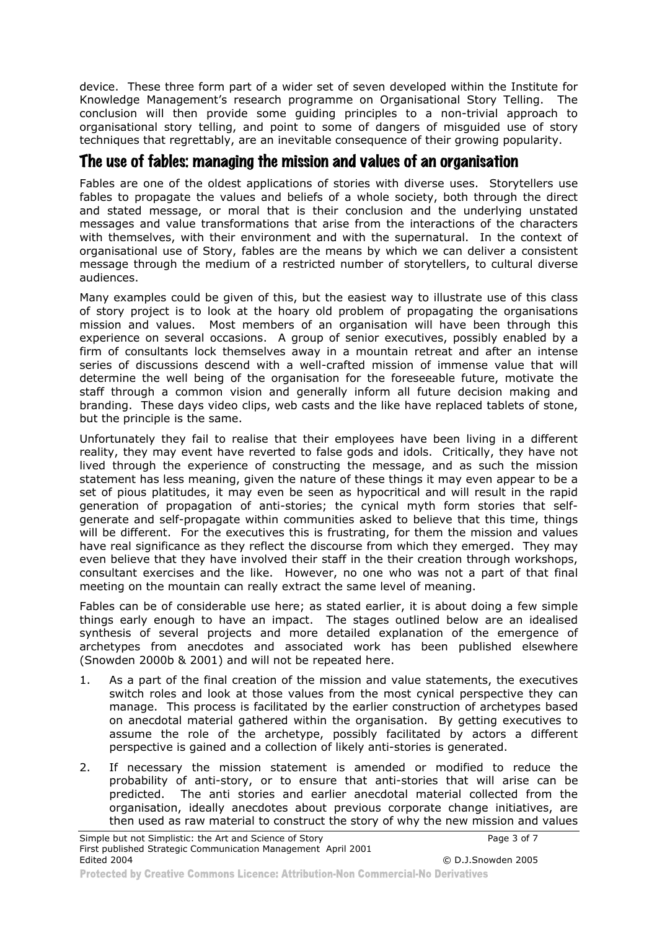device. These three form part of a wider set of seven developed within the Institute for Knowledge Management's research programme on Organisational Story Telling. The conclusion will then provide some guiding principles to a non-trivial approach to organisational story telling, and point to some of dangers of misguided use of story techniques that regrettably, are an inevitable consequence of their growing popularity.

### The use of fables: managing the mission and values of an organisation

Fables are one of the oldest applications of stories with diverse uses. Storytellers use fables to propagate the values and beliefs of a whole society, both through the direct and stated message, or moral that is their conclusion and the underlying unstated messages and value transformations that arise from the interactions of the characters with themselves, with their environment and with the supernatural. In the context of organisational use of Story, fables are the means by which we can deliver a consistent message through the medium of a restricted number of storytellers, to cultural diverse audiences.

Many examples could be given of this, but the easiest way to illustrate use of this class of story project is to look at the hoary old problem of propagating the organisations mission and values. Most members of an organisation will have been through this experience on several occasions. A group of senior executives, possibly enabled by a firm of consultants lock themselves away in a mountain retreat and after an intense series of discussions descend with a well-crafted mission of immense value that will determine the well being of the organisation for the foreseeable future, motivate the staff through a common vision and generally inform all future decision making and branding. These days video clips, web casts and the like have replaced tablets of stone, but the principle is the same.

Unfortunately they fail to realise that their employees have been living in a different reality, they may event have reverted to false gods and idols. Critically, they have not lived through the experience of constructing the message, and as such the mission statement has less meaning, given the nature of these things it may even appear to be a set of pious platitudes, it may even be seen as hypocritical and will result in the rapid generation of propagation of anti-stories; the cynical myth form stories that selfgenerate and self-propagate within communities asked to believe that this time, things will be different. For the executives this is frustrating, for them the mission and values have real significance as they reflect the discourse from which they emerged. They may even believe that they have involved their staff in the their creation through workshops, consultant exercises and the like. However, no one who was not a part of that final meeting on the mountain can really extract the same level of meaning.

Fables can be of considerable use here; as stated earlier, it is about doing a few simple things early enough to have an impact. The stages outlined below are an idealised synthesis of several projects and more detailed explanation of the emergence of archetypes from anecdotes and associated work has been published elsewhere (Snowden 2000b & 2001) and will not be repeated here.

- 1. As a part of the final creation of the mission and value statements, the executives switch roles and look at those values from the most cynical perspective they can manage. This process is facilitated by the earlier construction of archetypes based on anecdotal material gathered within the organisation. By getting executives to assume the role of the archetype, possibly facilitated by actors a different perspective is gained and a collection of likely anti-stories is generated.
- 2. If necessary the mission statement is amended or modified to reduce the probability of anti-story, or to ensure that anti-stories that will arise can be predicted. The anti stories and earlier anecdotal material collected from the organisation, ideally anecdotes about previous corporate change initiatives, are then used as raw material to construct the story of why the new mission and values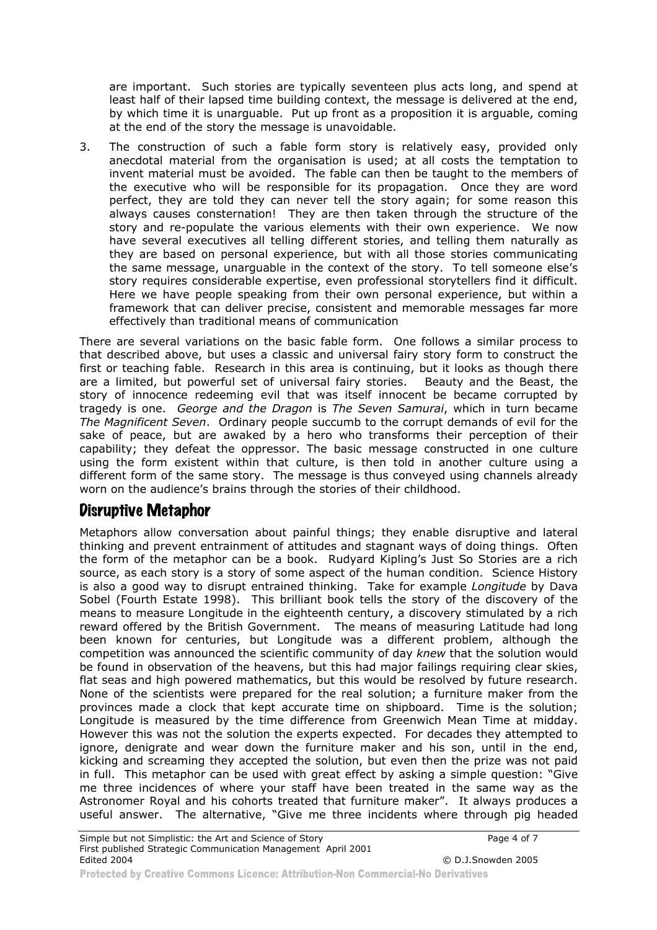are important. Such stories are typically seventeen plus acts long, and spend at least half of their lapsed time building context, the message is delivered at the end, by which time it is unarguable. Put up front as a proposition it is arguable, coming at the end of the story the message is unavoidable.

3. The construction of such a fable form story is relatively easy, provided only anecdotal material from the organisation is used; at all costs the temptation to invent material must be avoided. The fable can then be taught to the members of the executive who will be responsible for its propagation. Once they are word perfect, they are told they can never tell the story again; for some reason this always causes consternation! They are then taken through the structure of the story and re-populate the various elements with their own experience. We now have several executives all telling different stories, and telling them naturally as they are based on personal experience, but with all those stories communicating the same message, unarguable in the context of the story. To tell someone else's story requires considerable expertise, even professional storytellers find it difficult. Here we have people speaking from their own personal experience, but within a framework that can deliver precise, consistent and memorable messages far more effectively than traditional means of communication

There are several variations on the basic fable form. One follows a similar process to that described above, but uses a classic and universal fairy story form to construct the first or teaching fable. Research in this area is continuing, but it looks as though there are a limited, but powerful set of universal fairy stories. Beauty and the Beast, the story of innocence redeeming evil that was itself innocent be became corrupted by tragedy is one. *George and the Dragon* is *The Seven Samurai*, which in turn became *The Magnificent Seven*. Ordinary people succumb to the corrupt demands of evil for the sake of peace, but are awaked by a hero who transforms their perception of their capability; they defeat the oppressor. The basic message constructed in one culture using the form existent within that culture, is then told in another culture using a different form of the same story. The message is thus conveyed using channels already worn on the audience's brains through the stories of their childhood.

### Disruptive Metaphor

Metaphors allow conversation about painful things; they enable disruptive and lateral thinking and prevent entrainment of attitudes and stagnant ways of doing things. Often the form of the metaphor can be a book. Rudyard Kipling's Just So Stories are a rich source, as each story is a story of some aspect of the human condition. Science History is also a good way to disrupt entrained thinking. Take for example *Longitude* by Dava Sobel (Fourth Estate 1998). This brilliant book tells the story of the discovery of the means to measure Longitude in the eighteenth century, a discovery stimulated by a rich reward offered by the British Government. The means of measuring Latitude had long been known for centuries, but Longitude was a different problem, although the competition was announced the scientific community of day *knew* that the solution would be found in observation of the heavens, but this had major failings requiring clear skies, flat seas and high powered mathematics, but this would be resolved by future research. None of the scientists were prepared for the real solution; a furniture maker from the provinces made a clock that kept accurate time on shipboard. Time is the solution; Longitude is measured by the time difference from Greenwich Mean Time at midday. However this was not the solution the experts expected. For decades they attempted to ignore, denigrate and wear down the furniture maker and his son, until in the end, kicking and screaming they accepted the solution, but even then the prize was not paid in full. This metaphor can be used with great effect by asking a simple question: "Give me three incidences of where your staff have been treated in the same way as the Astronomer Royal and his cohorts treated that furniture maker". It always produces a useful answer. The alternative, "Give me three incidents where through pig headed

Protected by Creative Commons Licence: Attribution-Non Commercial-No Derivatives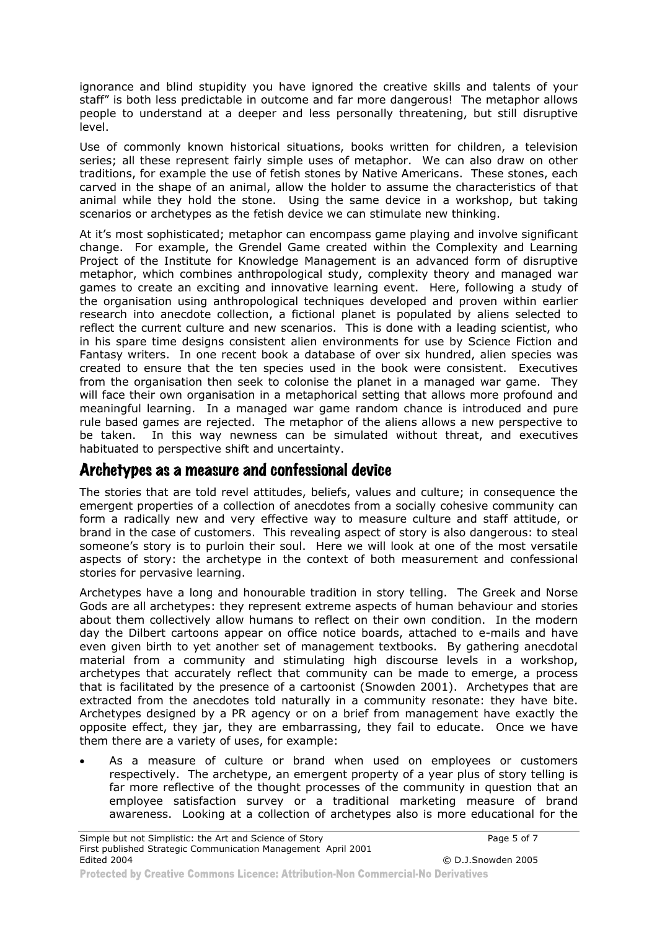ignorance and blind stupidity you have ignored the creative skills and talents of your staff" is both less predictable in outcome and far more dangerous! The metaphor allows people to understand at a deeper and less personally threatening, but still disruptive level.

Use of commonly known historical situations, books written for children, a television series; all these represent fairly simple uses of metaphor. We can also draw on other traditions, for example the use of fetish stones by Native Americans. These stones, each carved in the shape of an animal, allow the holder to assume the characteristics of that animal while they hold the stone. Using the same device in a workshop, but taking scenarios or archetypes as the fetish device we can stimulate new thinking.

At it's most sophisticated; metaphor can encompass game playing and involve significant change. For example, the Grendel Game created within the Complexity and Learning Project of the Institute for Knowledge Management is an advanced form of disruptive metaphor, which combines anthropological study, complexity theory and managed war games to create an exciting and innovative learning event. Here, following a study of the organisation using anthropological techniques developed and proven within earlier research into anecdote collection, a fictional planet is populated by aliens selected to reflect the current culture and new scenarios. This is done with a leading scientist, who in his spare time designs consistent alien environments for use by Science Fiction and Fantasy writers. In one recent book a database of over six hundred, alien species was created to ensure that the ten species used in the book were consistent. Executives from the organisation then seek to colonise the planet in a managed war game. They will face their own organisation in a metaphorical setting that allows more profound and meaningful learning. In a managed war game random chance is introduced and pure rule based games are rejected. The metaphor of the aliens allows a new perspective to be taken. In this way newness can be simulated without threat, and executives habituated to perspective shift and uncertainty.

#### Archetypes as a measure and confessional device

The stories that are told revel attitudes, beliefs, values and culture; in consequence the emergent properties of a collection of anecdotes from a socially cohesive community can form a radically new and very effective way to measure culture and staff attitude, or brand in the case of customers. This revealing aspect of story is also dangerous: to steal someone's story is to purloin their soul. Here we will look at one of the most versatile aspects of story: the archetype in the context of both measurement and confessional stories for pervasive learning.

Archetypes have a long and honourable tradition in story telling. The Greek and Norse Gods are all archetypes: they represent extreme aspects of human behaviour and stories about them collectively allow humans to reflect on their own condition. In the modern day the Dilbert cartoons appear on office notice boards, attached to e-mails and have even given birth to yet another set of management textbooks. By gathering anecdotal material from a community and stimulating high discourse levels in a workshop, archetypes that accurately reflect that community can be made to emerge, a process that is facilitated by the presence of a cartoonist (Snowden 2001). Archetypes that are extracted from the anecdotes told naturally in a community resonate: they have bite. Archetypes designed by a PR agency or on a brief from management have exactly the opposite effect, they jar, they are embarrassing, they fail to educate. Once we have them there are a variety of uses, for example:

• As a measure of culture or brand when used on employees or customers respectively. The archetype, an emergent property of a year plus of story telling is far more reflective of the thought processes of the community in question that an employee satisfaction survey or a traditional marketing measure of brand awareness. Looking at a collection of archetypes also is more educational for the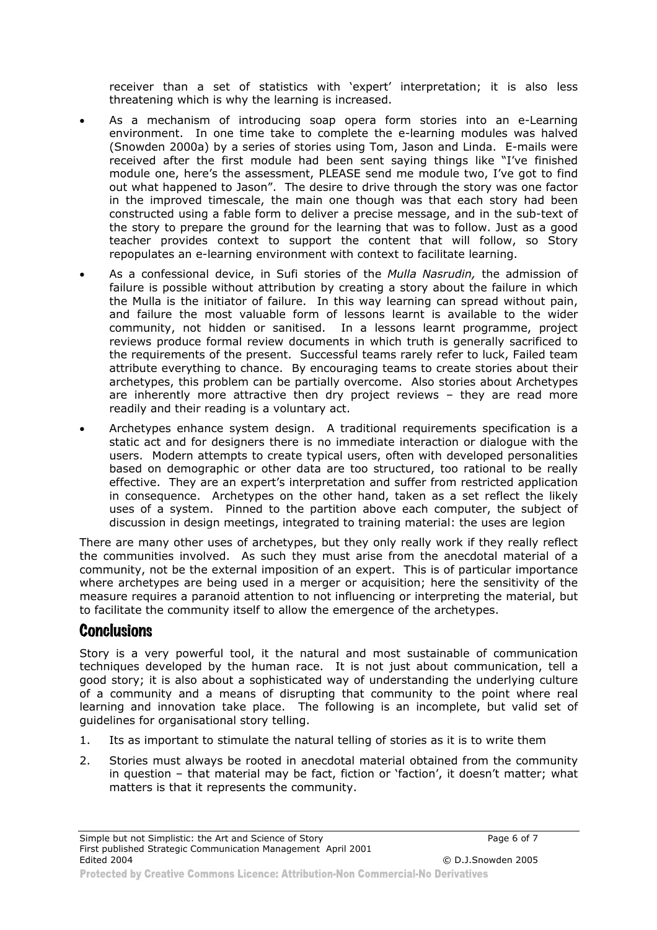receiver than a set of statistics with 'expert' interpretation; it is also less threatening which is why the learning is increased.

- As a mechanism of introducing soap opera form stories into an e-Learning environment. In one time take to complete the e-learning modules was halved (Snowden 2000a) by a series of stories using Tom, Jason and Linda. E-mails were received after the first module had been sent saying things like "I've finished module one, here's the assessment, PLEASE send me module two, I've got to find out what happened to Jason". The desire to drive through the story was one factor in the improved timescale, the main one though was that each story had been constructed using a fable form to deliver a precise message, and in the sub-text of the story to prepare the ground for the learning that was to follow. Just as a good teacher provides context to support the content that will follow, so Story repopulates an e-learning environment with context to facilitate learning.
- As a confessional device, in Sufi stories of the *Mulla Nasrudin,* the admission of failure is possible without attribution by creating a story about the failure in which the Mulla is the initiator of failure. In this way learning can spread without pain, and failure the most valuable form of lessons learnt is available to the wider community, not hidden or sanitised. In a lessons learnt programme, project reviews produce formal review documents in which truth is generally sacrificed to the requirements of the present. Successful teams rarely refer to luck, Failed team attribute everything to chance. By encouraging teams to create stories about their archetypes, this problem can be partially overcome. Also stories about Archetypes are inherently more attractive then dry project reviews – they are read more readily and their reading is a voluntary act.
- Archetypes enhance system design. A traditional requirements specification is a static act and for designers there is no immediate interaction or dialogue with the users. Modern attempts to create typical users, often with developed personalities based on demographic or other data are too structured, too rational to be really effective. They are an expert's interpretation and suffer from restricted application in consequence. Archetypes on the other hand, taken as a set reflect the likely uses of a system. Pinned to the partition above each computer, the subject of discussion in design meetings, integrated to training material: the uses are legion

There are many other uses of archetypes, but they only really work if they really reflect the communities involved. As such they must arise from the anecdotal material of a community, not be the external imposition of an expert. This is of particular importance where archetypes are being used in a merger or acquisition; here the sensitivity of the measure requires a paranoid attention to not influencing or interpreting the material, but to facilitate the community itself to allow the emergence of the archetypes.

#### **Conclusions**

Story is a very powerful tool, it the natural and most sustainable of communication techniques developed by the human race. It is not just about communication, tell a good story; it is also about a sophisticated way of understanding the underlying culture of a community and a means of disrupting that community to the point where real learning and innovation take place. The following is an incomplete, but valid set of guidelines for organisational story telling.

- 1. Its as important to stimulate the natural telling of stories as it is to write them
- 2. Stories must always be rooted in anecdotal material obtained from the community in question – that material may be fact, fiction or 'faction', it doesn't matter; what matters is that it represents the community.